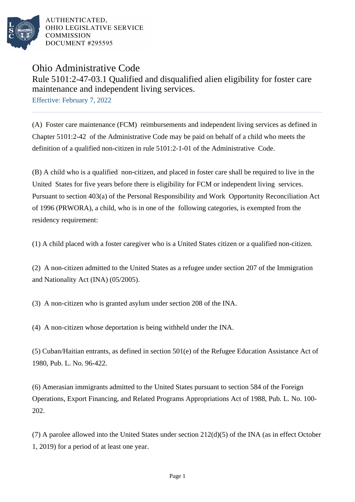

AUTHENTICATED. OHIO LEGISLATIVE SERVICE **COMMISSION** DOCUMENT #295595

## Ohio Administrative Code

Rule 5101:2-47-03.1 Qualified and disqualified alien eligibility for foster care maintenance and independent living services.

Effective: February 7, 2022

(A) Foster care maintenance (FCM) reimbursements and independent living services as defined in Chapter 5101:2-42 of the Administrative Code may be paid on behalf of a child who meets the definition of a qualified non-citizen in rule 5101:2-1-01 of the Administrative Code.

(B) A child who is a qualified non-citizen, and placed in foster care shall be required to live in the United States for five years before there is eligibility for FCM or independent living services. Pursuant to section 403(a) of the Personal Responsibility and Work Opportunity Reconciliation Act of 1996 (PRWORA), a child, who is in one of the following categories, is exempted from the residency requirement:

(1) A child placed with a foster caregiver who is a United States citizen or a qualified non-citizen.

(2) A non-citizen admitted to the United States as a refugee under section 207 of the Immigration and Nationality Act (INA) (05/2005).

(3) A non-citizen who is granted asylum under section 208 of the INA.

(4) A non-citizen whose deportation is being withheld under the INA.

 $(5)$  Cuban/Haitian entrants, as defined in section 501(e) of the Refugee Education Assistance Act of 1980, Pub. L. No. 96-422.

(6) Amerasian immigrants admitted to the United States pursuant to section 584 of the Foreign Operations, Export Financing, and Related Programs Appropriations Act of 1988, Pub. L. No. 100-202.

(7) A parolee allowed into the United States under section  $212(d)(5)$  of the INA (as in effect October 1, 2019) for a period of at least one year.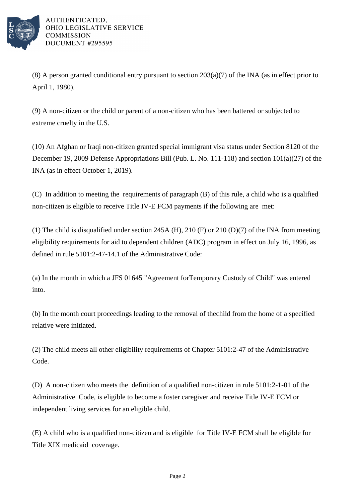

AUTHENTICATED. OHIO LEGISLATIVE SERVICE **COMMISSION** DOCUMENT #295595

(8) A person granted conditional entry pursuant to section  $203(a)(7)$  of the INA (as in effect prior to April 1, 1980).

(9) A non-citizen or the child or parent of a non-citizen who has been battered or subjected to extreme cruelty in the U.S.

(10) An Afghan or Iraqi non-citizen granted special immigrant visa status under Section 8120 of the December 19, 2009 Defense Appropriations Bill (Pub. L. No. 111-118) and section  $101(a)(27)$  of the INA (as in effect October 1, 2019).

(C) In addition to meeting the requirements of paragraph (B) of this rule, a child who is a qualified non-citizen is eligible to receive Title IV-E FCM payments if the following are met:

(1) The child is disqualified under section 245A (H), 210 (F) or 210 (D)(7) of the INA from meeting eligibility requirements for aid to dependent children (ADC) program in effect on July 16, 1996, as defined in rule 5101:2-47-14.1 of the Administrative Code:

(a) In the month in which a JFS 01645 "Agreement for Temporary Custody of Child" was entered into.

(b) In the month court proceedings leading to the removal of the child from the home of a specified relative were initiated.

(2) The child meets all other eligibility requirements of Chapter 5101:2-47 of the Administrative Code.

(D) A non-citizen who meets the definition of a qualified non-citizen in rule 5101:2-1-01 of the Administrative Code, is eligible to become a foster caregiver and receive Title IV-E FCM or independent living services for an eligible child.

(E) A child who is a qualified non-citizen and is eligible for Title IV-E FCM shall be eligible for Title XIX medicaid coverage.